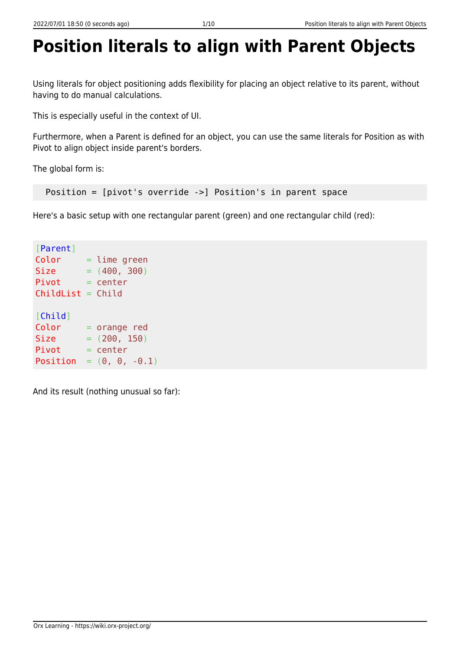## **Position literals to align with Parent Objects**

Using literals for object positioning adds flexibility for placing an object relative to its parent, without having to do manual calculations.

This is especially useful in the context of UI.

Furthermore, when a Parent is defined for an object, you can use the same literals for Position as with Pivot to align object inside parent's borders.

The global form is:

Position = [pivot's override ->] Position's in parent space

Here's a basic setup with one rectangular parent (green) and one rectangular child (red):

```
[Parent]
Color = lime greenSize = (400, 300)Pivot = centerChildList = Child[Child]
Color = orange red
Size = (200, 150)Pivot = centerPosition = (0, 0, -0.1)
```
And its result (nothing unusual so far):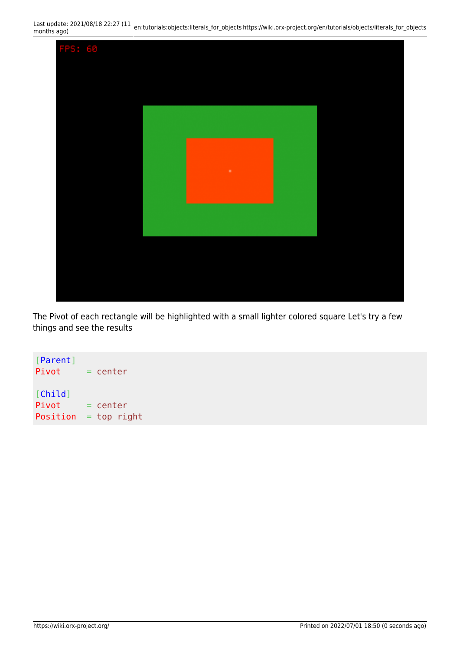

The Pivot of each rectangle will be highlighted with a small lighter colored square Let's try a few things and see the results

[Parent]  $Pivot = center$ [Child]  $Pivot = center$  $Position = top right$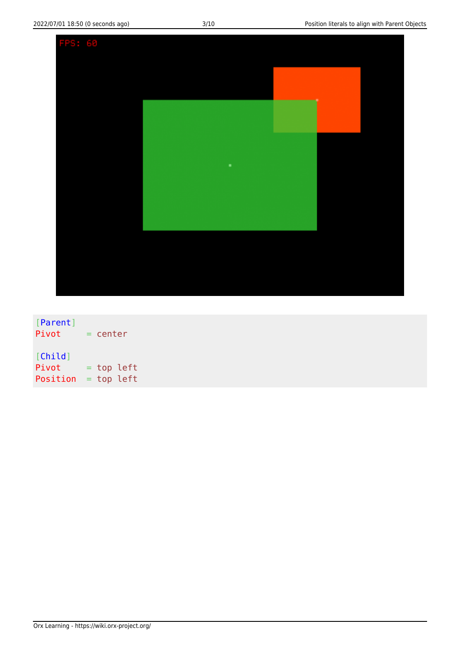| FPS: 60 |  |  |   |  |  |
|---------|--|--|---|--|--|
|         |  |  |   |  |  |
|         |  |  |   |  |  |
|         |  |  |   |  |  |
|         |  |  |   |  |  |
|         |  |  | ٠ |  |  |
|         |  |  |   |  |  |
|         |  |  |   |  |  |
|         |  |  |   |  |  |
|         |  |  |   |  |  |
|         |  |  |   |  |  |

[Parent]  $Pivot = center$ [Child]  $Pivot = top left$ Position = top left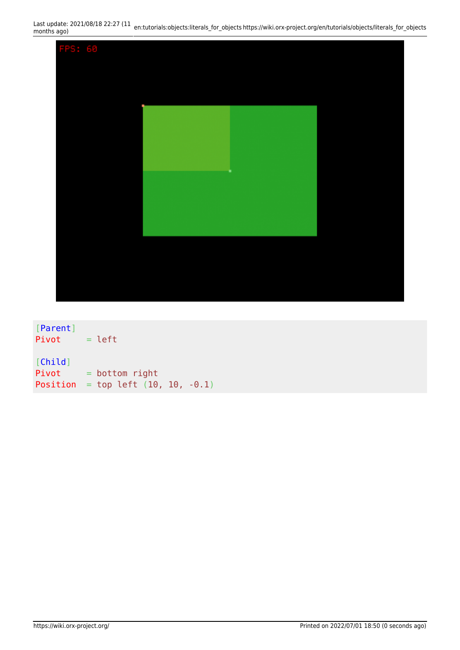

| [Parent]<br>Pivot | $=$ left                       |
|-------------------|--------------------------------|
| [Child]           |                                |
| Pivot             | $=$ bottom right               |
| Position          | $=$ top left (10, 10, $-0.1$ ) |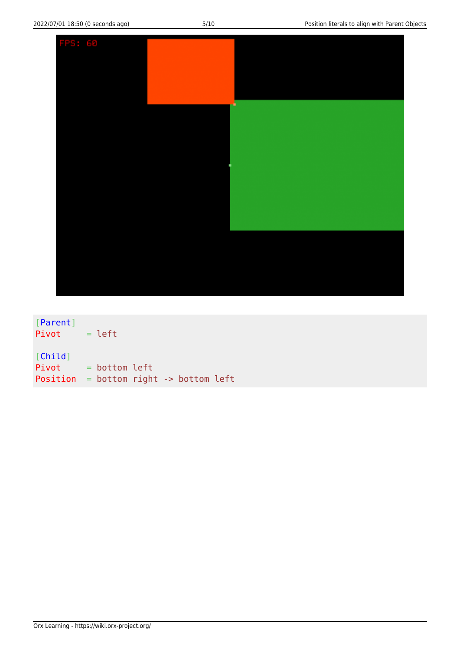

[Parent]  $Pivot = left$ [Child] Pivot = bottom left Position = bottom right -> bottom left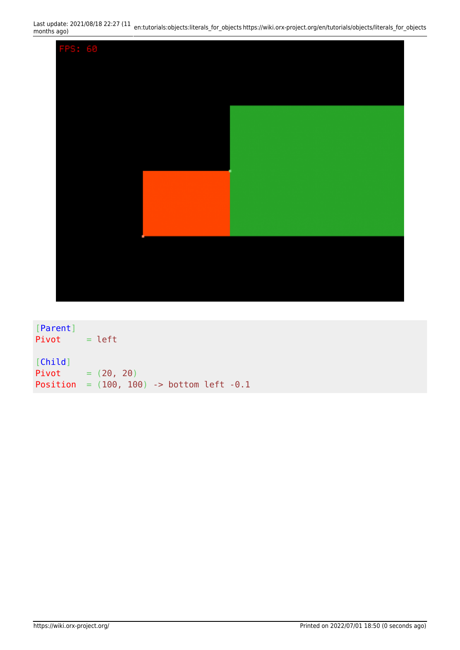

[Parent]  $Pivot = left$ [Child] Pivot =  $(20, 20)$ Position =  $(100, 100)$  -> bottom left -0.1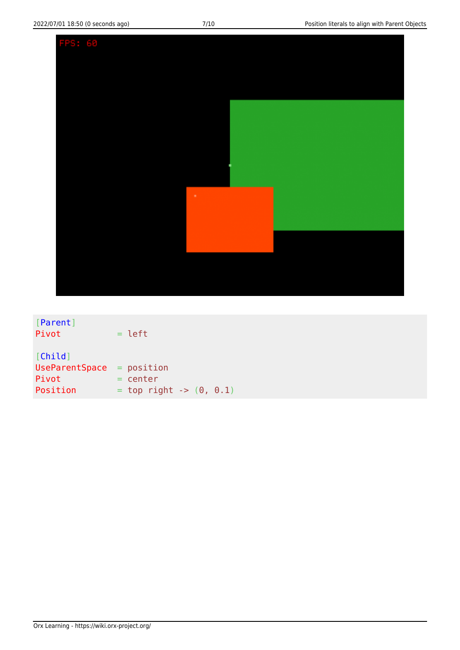| FPS: 60 |   |  |
|---------|---|--|
|         |   |  |
|         |   |  |
|         |   |  |
|         |   |  |
|         |   |  |
|         |   |  |
|         |   |  |
|         |   |  |
|         | ٠ |  |
|         |   |  |
|         |   |  |
|         |   |  |
|         |   |  |
|         |   |  |
|         |   |  |

| [Parent]              |                             |
|-----------------------|-----------------------------|
| Pivot                 | $=$ left                    |
|                       |                             |
| [Child]               |                             |
| <b>UseParentSpace</b> | $=$ position                |
| Pivot                 | $=$ center                  |
| Position              | $=$ top right -> $(0, 0.1)$ |
|                       |                             |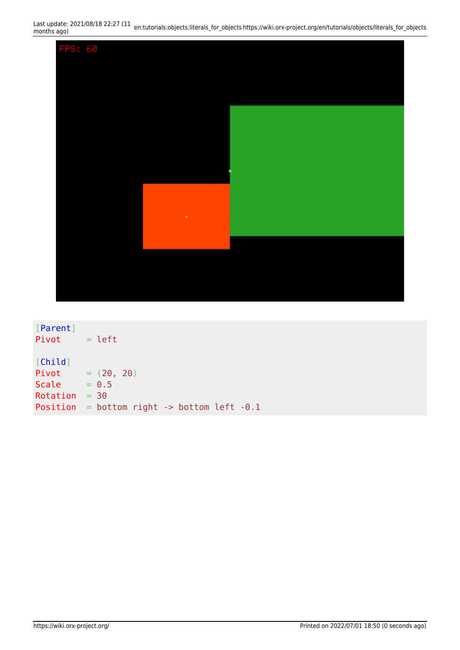

[Parent]  $Pivot = left$ [Child] Pivot =  $(20, 20)$ Scale  $= 0.5$  $Rotation = 30$ Position = bottom right -> bottom left -0.1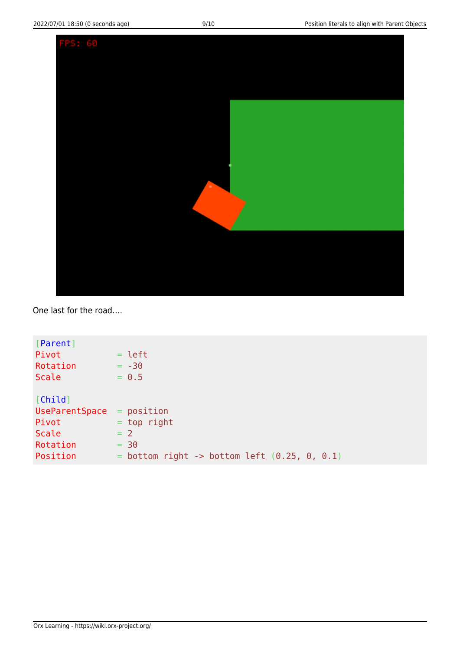

One last for the road….

| [Parent]                    |                                                  |
|-----------------------------|--------------------------------------------------|
| Pivot                       | $=$ left                                         |
| Rotation                    | $= -30$                                          |
| Scale                       | $= 0.5$                                          |
|                             |                                                  |
| [Child]                     |                                                  |
| $UseParentSpace = position$ |                                                  |
| Pivot                       | $=$ top right                                    |
| Scale                       | $= 2$                                            |
| Rotation                    | $= 30$                                           |
| Position                    | $=$ bottom right -> bottom left $(0.25, 0, 0.1)$ |